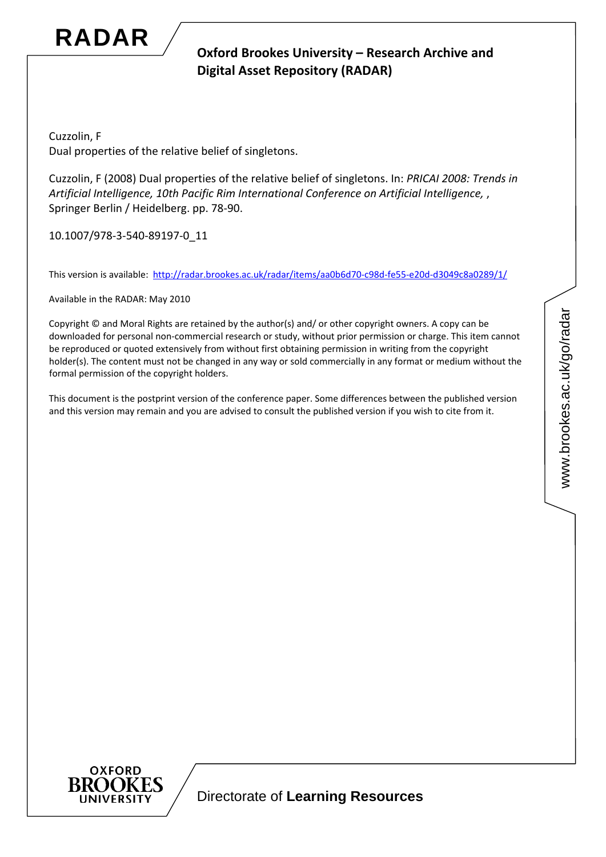

# **Oxford Brookes University – Research Archive and Digital Asset Repository (RADAR)**

Cuzzolin, F Dual properties of the relative belief of singletons.

Cuzzolin, F (2008) Dual properties of the relative belief of singletons. In: *PRICAI 2008: Trends in Artificial Intelligence, 10th Pacific Rim International Conference on Artificial Intelligence,* , Springer Berlin / Heidelberg. pp. 78‐90.

10.1007/978‐3‐540‐89197‐0\_11

This version is available: [http://radar.brookes.ac.uk/radar/items/aa0b6d70](http://radar.brookes.ac.uk/radar/items/aa0b6d70-c98d-fe55-e20d-d3049c8a0289/1/)‐c98d‐fe55‐e20d‐d3049c8a0289/1/

Available in the RADAR: May 2010

Copyright © and Moral Rights are retained by the author(s) and/ or other copyright owners. A copy can be downloaded for personal non‐commercial research or study, without prior permission or charge. This item cannot be reproduced or quoted extensively from without first obtaining permission in writing from the copyright holder(s). The content must not be changed in any way or sold commercially in any format or medium without the formal permission of the copyright holders.

This document is the postprint version of the conference paper. Some differences between the published version and this version may remain and you are advised to consult the published version if you wish to cite from it.

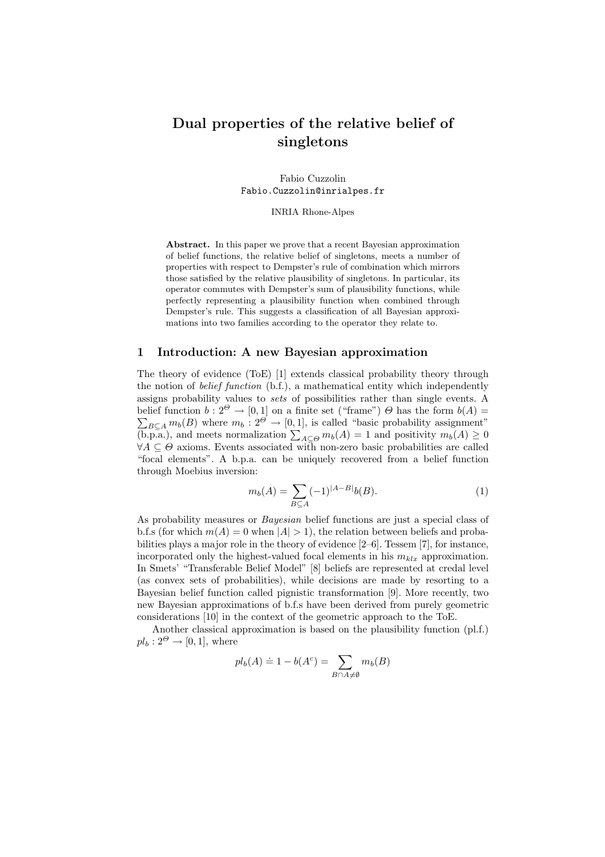# Dual properties of the relative belief of singletons

Fabio Cuzzolin Fabio.Cuzzolin@inrialpes.fr

INRIA Rhone-Alpes

Abstract. In this paper we prove that a recent Bayesian approximation of belief functions, the relative belief of singletons, meets a number of properties with respect to Dempster's rule of combination which mirrors those satisfied by the relative plausibility of singletons. In particular, its operator commutes with Dempster's sum of plausibility functions, while perfectly representing a plausibility function when combined through Dempster's rule. This suggests a classification of all Bayesian approximations into two families according to the operator they relate to.

## 1 Introduction: A new Bayesian approximation

The theory of evidence (ToE) [1] extends classical probability theory through the notion of belief function (b.f.), a mathematical entity which independently assigns probability values to sets of possibilities rather than single events. A belief function  $b: 2^{\Theta} \to [0, 1]$  on a finite set ("frame")  $\Theta$  has the form  $b(A) =$  $\sum_{B \subseteq A} m_b(B)$  where  $m_b : 2^{\Theta} \to [0, 1]$ , is called "basic probability assignment"<br>(b.p.a.), and meets normalization  $\sum_{A \subseteq \Theta} m_b(A) = 1$  and positivity  $m_b(A) \ge 0$  $\forall A \subseteq \Theta$  axioms. Events associated with non-zero basic probabilities are called "focal elements". A b.p.a. can be uniquely recovered from a belief function through Moebius inversion:

$$
m_b(A) = \sum_{B \subseteq A} (-1)^{|A-B|} b(B). \tag{1}
$$

As probability measures or *Bayesian* belief functions are just a special class of b.f.s (for which  $m(A) = 0$  when  $|A| > 1$ ), the relation between beliefs and probabilities plays a major role in the theory of evidence [2–6]. Tessem [7], for instance, incorporated only the highest-valued focal elements in his  $m_{klx}$  approximation. In Smets' "Transferable Belief Model" [8] beliefs are represented at credal level (as convex sets of probabilities), while decisions are made by resorting to a Bayesian belief function called pignistic transformation [9]. More recently, two new Bayesian approximations of b.f.s have been derived from purely geometric considerations [10] in the context of the geometric approach to the ToE.

Another classical approximation is based on the plausibility function (pl.f.)  $pl_b: 2^{\Theta} \rightarrow [0, 1]$ , where

$$
pl_b(A) \doteq 1 - b(A^c) = \sum_{B \cap A \neq \emptyset} m_b(B)
$$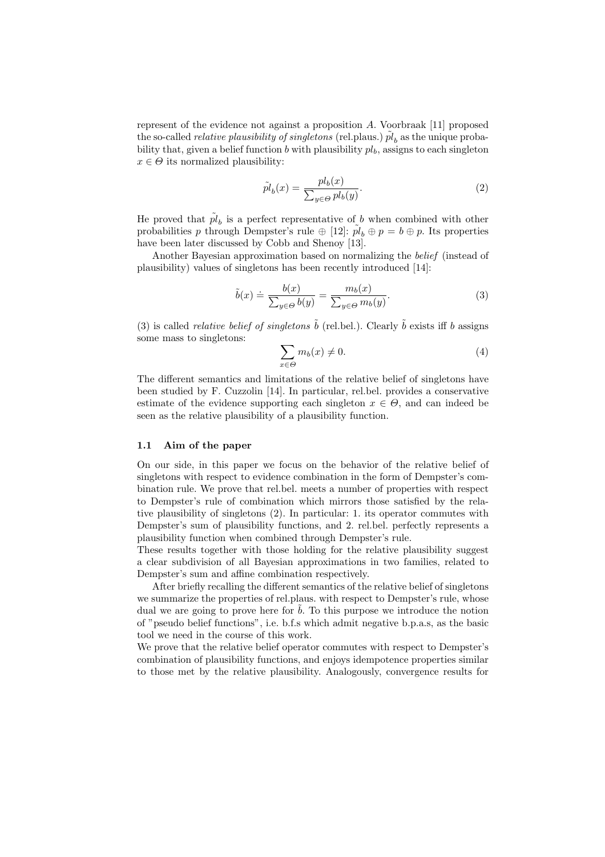represent of the evidence not against a proposition A. Voorbraak [11] proposed the so-called *relative plausibility of singletons* (rel.plaus.)  $pl<sub>b</sub>$  as the unique probability that, given a belief function b with plausibility  $pl<sub>b</sub>$ , assigns to each singleton  $x \in \Theta$  its normalized plausibility:

$$
\tilde{pl}_b(x) = \frac{pl_b(x)}{\sum_{y \in \Theta} pl_b(y)}.\tag{2}
$$

He proved that  $\tilde{pl}_b$  is a perfect representative of b when combined with other probabilities p through Dempster's rule  $\oplus$  [12]:  $\tilde{pl}_b \oplus p = b \oplus p$ . Its properties have been later discussed by Cobb and Shenoy [13].

Another Bayesian approximation based on normalizing the belief (instead of plausibility) values of singletons has been recently introduced [14]:

$$
\tilde{b}(x) \doteq \frac{b(x)}{\sum_{y \in \Theta} b(y)} = \frac{m_b(x)}{\sum_{y \in \Theta} m_b(y)}.\tag{3}
$$

(3) is called *relative belief of singletons*  $\tilde{b}$  (rel.bel.). Clearly  $\tilde{b}$  exists iff b assigns some mass to singletons:  $\overline{\phantom{a}}$ 

$$
\sum_{x \in \Theta} m_b(x) \neq 0. \tag{4}
$$

The different semantics and limitations of the relative belief of singletons have been studied by F. Cuzzolin [14]. In particular, rel.bel. provides a conservative estimate of the evidence supporting each singleton  $x \in \Theta$ , and can indeed be seen as the relative plausibility of a plausibility function.

## 1.1 Aim of the paper

On our side, in this paper we focus on the behavior of the relative belief of singletons with respect to evidence combination in the form of Dempster's combination rule. We prove that rel.bel. meets a number of properties with respect to Dempster's rule of combination which mirrors those satisfied by the relative plausibility of singletons (2). In particular: 1. its operator commutes with Dempster's sum of plausibility functions, and 2. rel.bel. perfectly represents a plausibility function when combined through Dempster's rule.

These results together with those holding for the relative plausibility suggest a clear subdivision of all Bayesian approximations in two families, related to Dempster's sum and affine combination respectively.

After briefly recalling the different semantics of the relative belief of singletons we summarize the properties of rel.plaus. with respect to Dempster's rule, whose dual we are going to prove here for  $b$ . To this purpose we introduce the notion of "pseudo belief functions", i.e. b.f.s which admit negative b.p.a.s, as the basic tool we need in the course of this work.

We prove that the relative belief operator commutes with respect to Dempster's combination of plausibility functions, and enjoys idempotence properties similar to those met by the relative plausibility. Analogously, convergence results for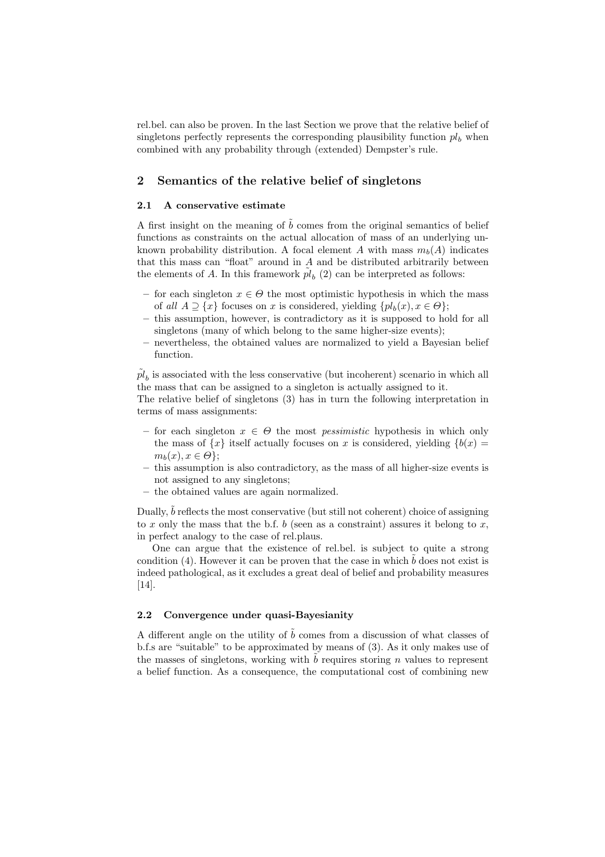rel.bel. can also be proven. In the last Section we prove that the relative belief of singletons perfectly represents the corresponding plausibility function  $pl<sub>b</sub>$  when combined with any probability through (extended) Dempster's rule.

## 2 Semantics of the relative belief of singletons

## 2.1 A conservative estimate

A first insight on the meaning of  $b$  comes from the original semantics of belief functions as constraints on the actual allocation of mass of an underlying unknown probability distribution. A focal element A with mass  $m_b(A)$  indicates that this mass can "float" around in  $A$  and be distributed arbitrarily between the elements of A. In this framework  $\tilde{pl}_b(2)$  can be interpreted as follows:

- for each singleton  $x \in \Theta$  the most optimistic hypothesis in which the mass of all  $A \supseteq \{x\}$  focuses on x is considered, yielding  $\{pl_b(x), x \in \Theta\};$
- this assumption, however, is contradictory as it is supposed to hold for all singletons (many of which belong to the same higher-size events);
- nevertheless, the obtained values are normalized to yield a Bayesian belief function.

 $\tilde{pl}_b$  is associated with the less conservative (but incoherent) scenario in which all the mass that can be assigned to a singleton is actually assigned to it.

The relative belief of singletons (3) has in turn the following interpretation in terms of mass assignments:

- for each singleton  $x \in \Theta$  the most *pessimistic* hypothesis in which only the mass of  $\{x\}$  itself actually focuses on x is considered, yielding  $\{b(x) =$  $m_b(x), x \in \Theta$ ;
- this assumption is also contradictory, as the mass of all higher-size events is not assigned to any singletons;
- the obtained values are again normalized.

Dually,  $\ddot{b}$  reflects the most conservative (but still not coherent) choice of assigning to x only the mass that the b.f. b (seen as a constraint) assures it belong to x, in perfect analogy to the case of rel.plaus.

One can argue that the existence of rel.bel. is subject to quite a strong condition (4). However it can be proven that the case in which  $\tilde{b}$  does not exist is indeed pathological, as it excludes a great deal of belief and probability measures [14].

## 2.2 Convergence under quasi-Bayesianity

A different angle on the utility of  $\tilde{b}$  comes from a discussion of what classes of b.f.s are "suitable" to be approximated by means of (3). As it only makes use of the masses of singletons, working with  $b$  requires storing  $n$  values to represent a belief function. As a consequence, the computational cost of combining new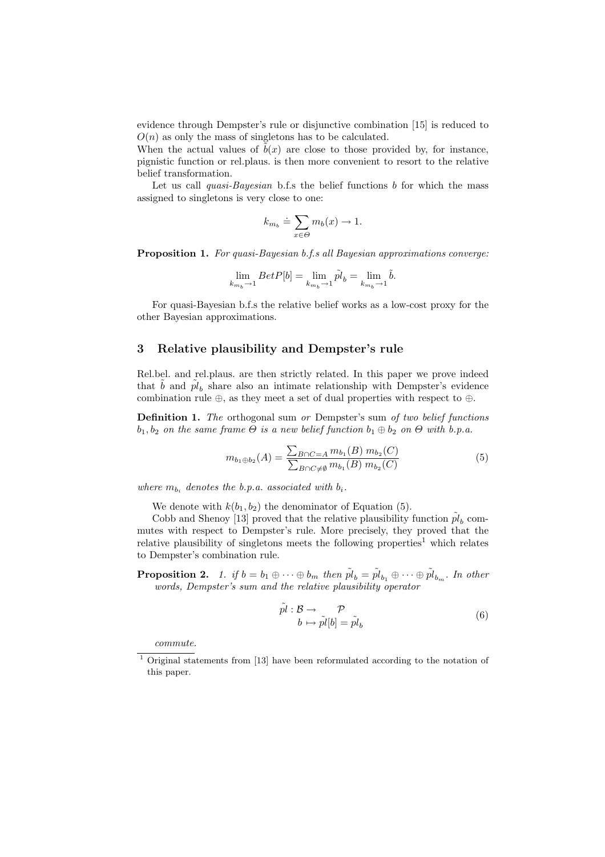evidence through Dempster's rule or disjunctive combination [15] is reduced to  $O(n)$  as only the mass of singletons has to be calculated.

When the actual values of  $\tilde{b}(x)$  are close to those provided by, for instance, pignistic function or rel.plaus. is then more convenient to resort to the relative belief transformation.

Let us call *quasi-Bayesian* b.f.s the belief functions  $b$  for which the mass assigned to singletons is very close to one:

$$
k_{m_b} \doteq \sum_{x \in \Theta} m_b(x) \to 1.
$$

Proposition 1. For quasi-Bayesian b.f.s all Bayesian approximations converge:

$$
\lim_{k_{m_b}\rightarrow 1} BetP[b]=\lim_{k_{m_b}\rightarrow 1} \tilde{pl}_b=\lim_{k_{m_b}\rightarrow 1} \tilde{b}.
$$

For quasi-Bayesian b.f.s the relative belief works as a low-cost proxy for the other Bayesian approximations.

## 3 Relative plausibility and Dempster's rule

Rel.bel. and rel.plaus. are then strictly related. In this paper we prove indeed that  $\tilde{b}$  and  $\tilde{pl}_b$  share also an intimate relationship with Dempster's evidence combination rule  $\oplus$ , as they meet a set of dual properties with respect to  $\oplus$ .

Definition 1. The orthogonal sum or Dempster's sum of two belief functions  $b_1, b_2$  on the same frame  $\Theta$  is a new belief function  $b_1 \oplus b_2$  on  $\Theta$  with b.p.a.

$$
m_{b_1 \oplus b_2}(A) = \frac{\sum_{B \cap C = A} m_{b_1}(B) m_{b_2}(C)}{\sum_{B \cap C \neq \emptyset} m_{b_1}(B) m_{b_2}(C)}
$$
(5)

where  $m_{b_i}$  denotes the b.p.a. associated with  $b_i$ .

We denote with  $k(b_1, b_2)$  the denominator of Equation (5).

Cobb and Shenoy [13] proved that the relative plausibility function  $\tilde{pl}_b$  commutes with respect to Dempster's rule. More precisely, they proved that the relative plausibility of singletons meets the following properties<sup>1</sup> which relates to Dempster's combination rule.

**Proposition 2.** 1. if  $b = b_1 \oplus \cdots \oplus b_m$  then  $\tilde{pl}_b = \tilde{pl}_{b_1} \oplus \cdots \oplus \tilde{pl}_{b_m}$ . In other words, Dempster's sum and the relative plausibility operator

$$
\tilde{pl}: \mathcal{B} \to \mathcal{P} b \mapsto \tilde{pl}[b] = \tilde{pl}_b
$$
\n(6)

commute.

<sup>1</sup> Original statements from [13] have been reformulated according to the notation of this paper.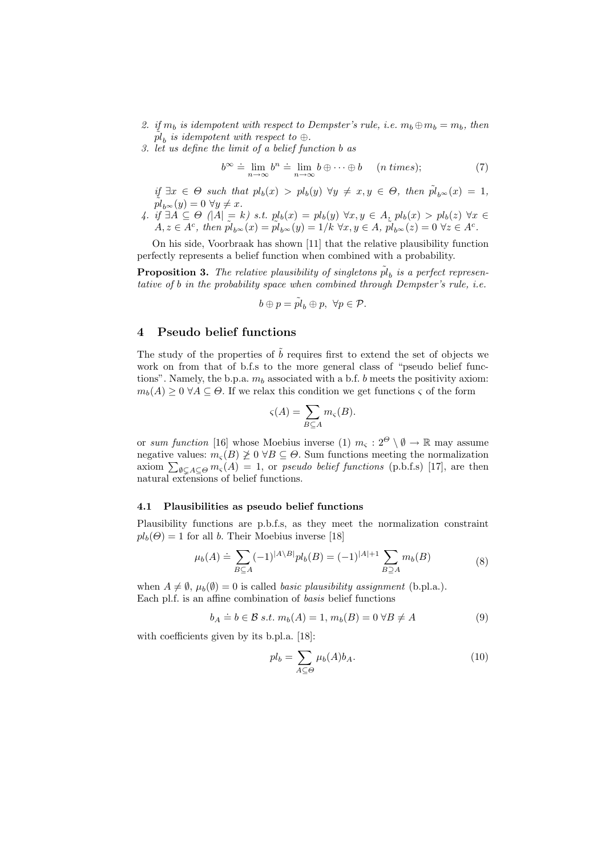- 2. if  $m_b$  is idempotent with respect to Dempster's rule, i.e.  $m_b \oplus m_b = m_b$ , then  $\tilde{p}_b$  is idempotent with respect to  $\oplus$ .
- 3. let us define the limit of a belief function b as

$$
b^{\infty} \doteq \lim_{n \to \infty} b^n \doteq \lim_{n \to \infty} b \oplus \dots \oplus b \qquad (n \text{ times}); \tag{7}
$$

if  $\exists x \in \Theta$  such that  $pl_b(x) > pl_b(y)$   $\forall y \neq x, y \in \Theta$ , then  $\tilde{pl}_{b^\infty}(x) = 1$ ,  $pl_{b^{\infty}}(y) = 0 \,\forall y \neq x.$ 

4. if  $\exists A \subseteq \Theta \ \vert A \vert = k$ ) s.t.  $pl_b(x) = pl_b(y) \ \forall x, y \in A, \ pl_b(x) > pl_b(z) \ \forall x \in \Theta$  $A, z \in \overline{A^c}$ , then  $\tilde{pl}_{b^\infty}(x) = \tilde{pl}_{b^\infty}(y) = 1/k \ \forall x, y \in A$ ,  $\tilde{pl}_{b^\infty}(z) = 0 \ \forall z \in A^c$ .

On his side, Voorbraak has shown [11] that the relative plausibility function perfectly represents a belief function when combined with a probability.

**Proposition 3.** The relative plausibility of singletons  $\tilde{p}_b$  is a perfect representative of b in the probability space when combined through Dempster's rule, i.e.

$$
b \oplus p = \tilde{pl}_b \oplus p, \ \forall p \in \mathcal{P}.
$$

# 4 Pseudo belief functions

The study of the properties of  $\tilde{b}$  requires first to extend the set of objects we work on from that of b.f.s to the more general class of "pseudo belief functions". Namely, the b.p.a.  $m_b$  associated with a b.f. b meets the positivity axiom:  $m_b(A) \geq 0 \ \forall A \subseteq \Theta$ . If we relax this condition we get functions  $\varsigma$  of the form

$$
\varsigma(A) = \sum_{B \subseteq A} m_{\varsigma}(B).
$$

or sum function [16] whose Moebius inverse (1)  $m_c : 2^{\Theta} \setminus \emptyset \to \mathbb{R}$  may assume negative values:  $m_{\varsigma}(B) \ngeq 0 \forall B \subseteq \Theta$ . Sum functions meeting the normalization megative values:  $m_{\varsigma}(B) \not\geq 0$  v $B \subseteq \Theta$ . Sum functions meeting the hormalization axiom  $\sum_{\emptyset \subsetneq A \subseteq \Theta} m_{\varsigma}(A) = 1$ , or *pseudo belief functions* (p.b.f.s) [17], are then natural extensions of belief functions.

# 4.1 Plausibilities as pseudo belief functions

Plausibility functions are p.b.f.s, as they meet the normalization constraint  $pl_b(\Theta) = 1$  for all b. Their Moebius inverse [18]

$$
\mu_b(A) \doteq \sum_{B \subseteq A} (-1)^{|A \setminus B|} pl_b(B) = (-1)^{|A|+1} \sum_{B \supseteq A} m_b(B) \tag{8}
$$

when  $A \neq \emptyset$ ,  $\mu_b(\emptyset) = 0$  is called *basic plausibility assignment* (b.pl.a.). Each pl.f. is an affine combination of basis belief functions

$$
b_A \doteq b \in \mathcal{B} \text{ s.t. } m_b(A) = 1, m_b(B) = 0 \forall B \neq A
$$
 (9)

with coefficients given by its b.pl.a. [18]:

$$
pl_b = \sum_{A \subseteq \Theta} \mu_b(A) b_A.
$$
 (10)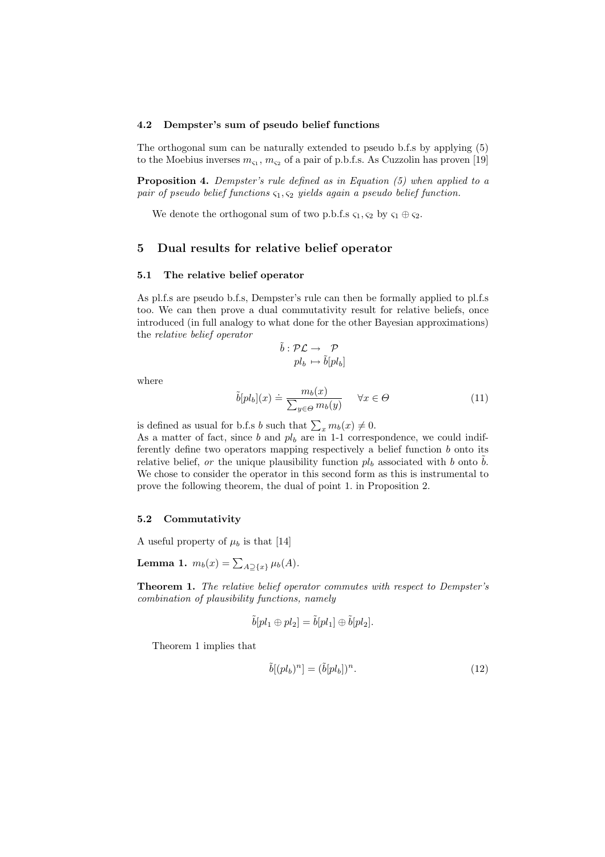### 4.2 Dempster's sum of pseudo belief functions

The orthogonal sum can be naturally extended to pseudo b.f.s by applying (5) to the Moebius inverses  $m_{\varsigma_1}, m_{\varsigma_2}$  of a pair of p.b.f.s. As Cuzzolin has proven [19]

Proposition 4. Dempster's rule defined as in Equation (5) when applied to a pair of pseudo belief functions  $\varsigma_1, \varsigma_2$  yields again a pseudo belief function.

We denote the orthogonal sum of two p.b.f.s  $\varsigma_1, \varsigma_2$  by  $\varsigma_1 \oplus \varsigma_2$ .

# 5 Dual results for relative belief operator

## 5.1 The relative belief operator

As pl.f.s are pseudo b.f.s, Dempster's rule can then be formally applied to pl.f.s too. We can then prove a dual commutativity result for relative beliefs, once introduced (in full analogy to what done for the other Bayesian approximations) the relative belief operator

$$
\begin{array}{c} \tilde{b} : \mathcal{PL} \rightarrow \quad \mathcal{P} \\ pl_b \mapsto \tilde{b}[pl_b] \end{array}
$$

where

$$
\tilde{b}[pl_b](x) \doteq \frac{m_b(x)}{\sum_{y \in \Theta} m_b(y)} \quad \forall x \in \Theta \tag{11}
$$

is defined as usual for b.f.s b such that  $\sum_x m_b(x) \neq 0$ .

As a matter of fact, since  $b$  and  $pl_b$  are in 1-1 correspondence, we could indifferently define two operators mapping respectively a belief function  $b$  onto its relative belief, or the unique plausibility function  $pl<sub>b</sub>$  associated with b onto b. We chose to consider the operator in this second form as this is instrumental to prove the following theorem, the dual of point 1. in Proposition 2.

## 5.2 Commutativity

A useful property of  $\mu_b$  is that [14]

**Lemma 1.**  $m_b(x) = \sum_{A \supseteq \{x\}} \mu_b(A)$ .

Theorem 1. The relative belief operator commutes with respect to Dempster's combination of plausibility functions, namely

$$
\tilde{b}[pl_1 \oplus pl_2] = \tilde{b}[pl_1] \oplus \tilde{b}[pl_2].
$$

Theorem 1 implies that

$$
\tilde{b}[(pl_b)^n] = (\tilde{b}[pl_b])^n.
$$
\n(12)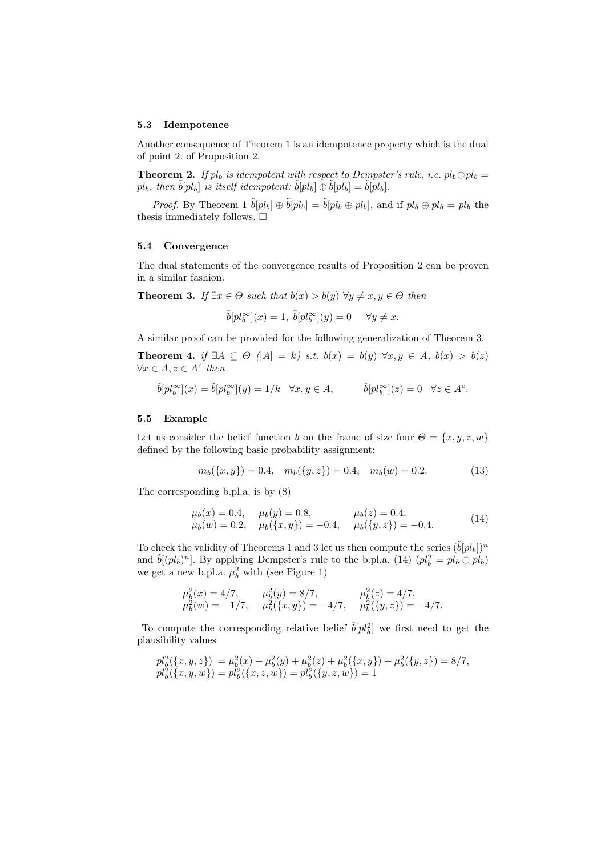#### 5.3 Idempotence

Another consequence of Theorem 1 is an idempotence property which is the dual of point 2. of Proposition 2.

**Theorem 2.** If  $pl_b$  is idempotent with respect to Dempster's rule, i.e.  $pl_b \oplus pl_b =$  $pl_b$ , then  $\tilde{b}[pl_b]$  is itself idempotent:  $\tilde{b}[pl_b] \oplus \tilde{b}[pl_b] = \tilde{b}[pl_b]$ .

*Proof.* By Theorem 1  $\tilde{b}[pl_b] \oplus \tilde{b}[pl_b] = \tilde{b}[pl_b \oplus pl_b]$ , and if  $pl_b \oplus pl_b = pl_b$  the thesis immediately follows.  $\Box$ 

## 5.4 Convergence

The dual statements of the convergence results of Proposition 2 can be proven in a similar fashion.

**Theorem 3.** If  $\exists x \in \Theta$  such that  $b(x) > b(y)$   $\forall y \neq x, y \in \Theta$  then

$$
\tilde{b}[pl_b^{\infty}](x)=1,\; \tilde{b}[pl_b^{\infty}](y)=0 \quad \ \forall y\neq x.
$$

A similar proof can be provided for the following generalization of Theorem 3.

Theorem 4. if  $\exists A \subseteq \Theta$  (|A| = k) s.t.  $b(x) = b(y)$   $\forall x, y \in A$ ,  $b(x) > b(z)$  $\forall x \in A, z \in A^c$  then

$$
\tilde{b}[pl_b^\infty](x)=\tilde{b}[pl_b^\infty](y)=1/k \quad \forall x,y \in A, \hspace{1cm} \tilde{b}[pl_b^\infty](z)=0 \quad \forall z \in A^c.
$$

### 5.5 Example

Let us consider the belief function b on the frame of size four  $\Theta = \{x, y, z, w\}$ defined by the following basic probability assignment:

$$
m_b({x, y}) = 0.4, \quad m_b({y, z}) = 0.4, \quad m_b(w) = 0.2.
$$
 (13)

The corresponding b.pl.a. is by (8)

$$
\mu_b(x) = 0.4,
$$
  $\mu_b(y) = 0.8,$   $\mu_b(z) = 0.4,$   
\n $\mu_b(w) = 0.2,$   $\mu_b({x, y}) = -0.4,$   $\mu_b({y, z}) = -0.4.$  (14)

To check the validity of Theorems 1 and 3 let us then compute the series  $(\tilde{b}[pl_b])^n$ and  $\tilde{b}[(pl_b)^n]$ . By applying Dempster's rule to the b.pl.a. (14)  $(pl_b^2 = pl_b \oplus pl_b)$ we get a new b.pl.a.  $\mu_b^2$  with (see Figure 1)

$$
\begin{array}{ll}\n\mu_b^2(x) = 4/7, & \mu_b^2(y) = 8/7, & \mu_b^2(z) = 4/7, \\
\mu_b^2(w) = -1/7, & \mu_b^2(\{x,y\}) = -4/7, & \mu_b^2(\{y,z\}) = -4/7.\n\end{array}
$$

To compute the corresponding relative belief  $\tilde{b}[pl_b^2]$  we first need to get the plausibility values

$$
pl_b^2({x, y, z}) = \mu_b^2(x) + \mu_b^2(y) + \mu_b^2(z) + \mu_b^2({x, y}) + \mu_b^2({y, z}) = 8/7,
$$
  
\n
$$
pl_b^2({x, y, w}) = pl_b^2({x, z, w}) = pl_b^2({y, z, w}) = 1
$$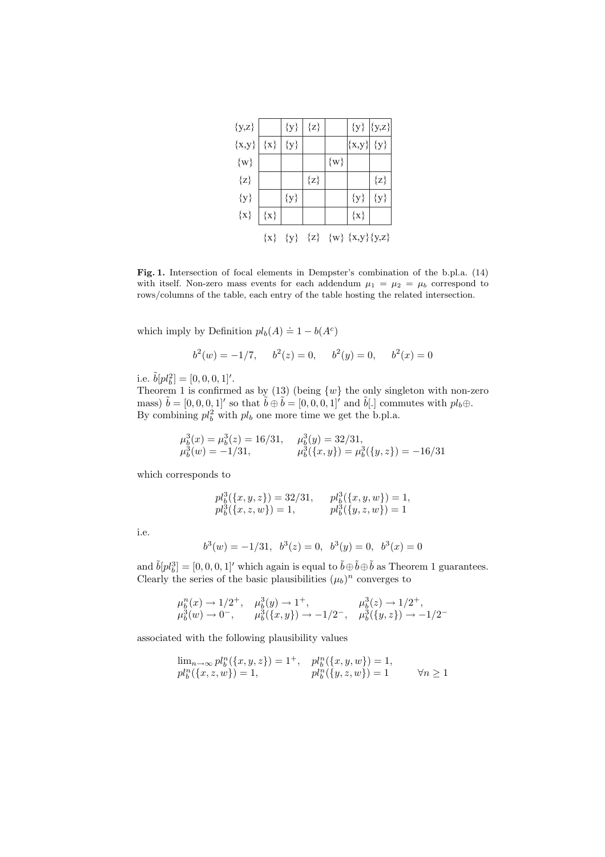| $\{y,z\}$ |         | ${y}$   | $\{z\}$ |         |                                     | ${y}   {y,z}$ |
|-----------|---------|---------|---------|---------|-------------------------------------|---------------|
| $\{x,y\}$ | $\{x\}$ | ${y}$   |         |         | $\{x,y\}$                           | $\{y\}$       |
| $\{w\}$   |         |         |         | $\{w\}$ |                                     |               |
| $\{z\}$   |         |         | $\{z\}$ |         |                                     | $\{z\}$       |
| ${y}$     |         | ${y}$   |         |         | ${y}$                               | ${y}$         |
| $\{x\}$   | $\{x\}$ |         |         |         | $\{x\}$                             |               |
|           | $\{x\}$ | $\{y\}$ |         |         | $\{z\}$ $\{w\}$ $\{x,y\}$ $\{y,z\}$ |               |

Fig. 1. Intersection of focal elements in Dempster's combination of the b.pl.a. (14) with itself. Non-zero mass events for each addendum  $\mu_1 = \mu_2 = \mu_b$  correspond to rows/columns of the table, each entry of the table hosting the related intersection.

which imply by Definition  $pl_b(A) \doteq 1 - b(A^c)$ 

$$
b2(w) = -1/7
$$
,  $b2(z) = 0$ ,  $b2(y) = 0$ ,  $b2(x) = 0$ 

i.e.  $\tilde{b}[pl_b^2] = [0, 0, 0, 1]'$ .

Theorem 1 is confirmed as by (13) (being  $\{w\}$  the only singleton with non-zero mass)  $\tilde{b} = [0, 0, 0, 1]'$  so that  $\tilde{b} \oplus \tilde{b} = [0, 0, 0, 1]'$  and  $\tilde{b}[.]$  commutes with  $pl_b \oplus$ . By combining  $pl_b^2$  with  $pl_b$  one more time we get the b.pl.a.

$$
\mu_b^3(x) = \mu_b^3(z) = 16/31, \quad \mu_b^3(y) = 32/31, \mu_b^3(w) = -1/31, \quad \mu_b^3(\{x, y\}) = \mu_b^3(\{y, z\}) = -16/31
$$

which corresponds to

$$
\begin{array}{ll} p l^3_b(\{x,y,z\})=32/31, & \quad p l^3_b(\{x,y,w\})=1, \\ p l^3_b(\{x,z,w\})=1, & \quad p l^3_b(\{y,z,w\})=1 \end{array}
$$

i.e.

$$
b^3(w) = -1/31
$$
,  $b^3(z) = 0$ ,  $b^3(y) = 0$ ,  $b^3(x) = 0$ 

and  $\tilde{b}[pl_b^3] = [0, 0, 0, 1]'$  which again is equal to  $\tilde{b} \oplus \tilde{b} \oplus \tilde{b}$  as Theorem 1 guarantees. Clearly the series of the basic plausibilities  $(\mu_b)^n$  converges to

$$
\begin{array}{ll} \mu^n_b(x) \rightarrow 1/2^+ , \quad \mu^3_b(y) \rightarrow 1^+ , \qquad \quad \mu^3_b(z) \rightarrow 1/2^+ , \\ \mu^3_b(w) \rightarrow 0^- , \qquad \mu^3_b(\{x,y\}) \rightarrow -1/2^- , \quad \mu^3_b(\{y,z\}) \rightarrow -1/2^- \end{array}
$$

associated with the following plausibility values

$$
\lim_{n \to \infty} pl_b^n(\{x, y, z\}) = 1^+, \quad pl_b^n(\{x, y, w\}) = 1,pl_b^n(\{x, z, w\}) = 1, \qquad pl_b^n(\{y, z, w\}) = 1 \qquad \forall n \ge 1
$$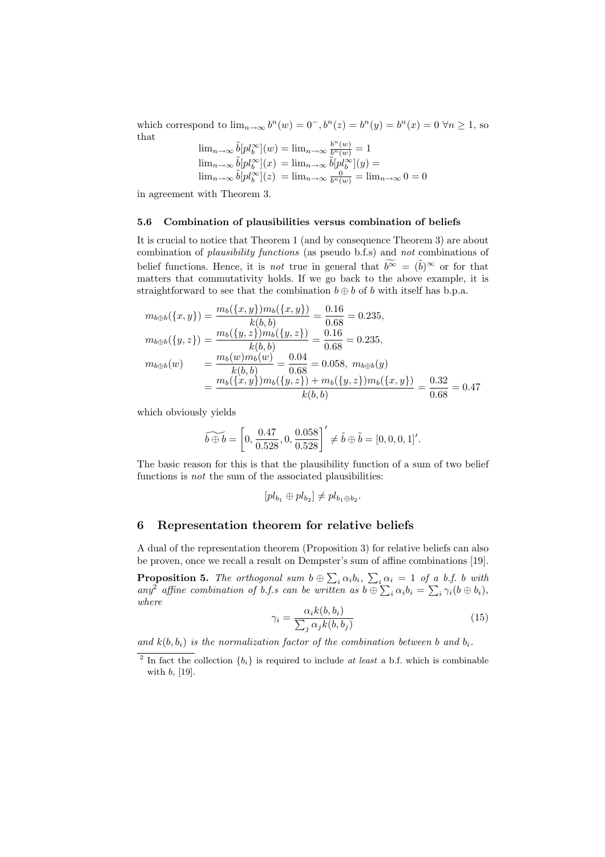which correspond to  $\lim_{n\to\infty} b^n(w) = 0^-, b^n(z) = b^n(y) = b^n(x) = 0 \,\forall n \ge 1$ , so that

$$
\lim_{n \to \infty} \tilde{b}[pl_b^{\infty}](w) = \lim_{n \to \infty} \frac{b^n(w)}{b^n(w)} = 1
$$
  

$$
\lim_{n \to \infty} \tilde{b}[pl_b^{\infty}](x) = \lim_{n \to \infty} \tilde{b}[pl_b^{\infty}](y) =
$$
  

$$
\lim_{n \to \infty} \tilde{b}[pl_b^{\infty}](z) = \lim_{n \to \infty} \frac{0}{b^n(w)} = \lim_{n \to \infty} 0 = 0
$$

in agreement with Theorem 3.

#### 5.6 Combination of plausibilities versus combination of beliefs

It is crucial to notice that Theorem 1 (and by consequence Theorem 3) are about combination of plausibility functions (as pseudo b.f.s) and not combinations of belief functions. Hence, it is *not* true in general that  $\widetilde{b^{\infty}} = (\tilde{b})^{\infty}$  or for that matters that commutativity holds. If we go back to the above example, it is straightforward to see that the combination  $b \oplus b$  of b with itself has b.p.a.

$$
m_{b\oplus b}(\{x,y\}) = \frac{m_b(\{x,y\})m_b(\{x,y\})}{k(b,b)} = \frac{0.16}{0.68} = 0.235,
$$
  
\n
$$
m_{b\oplus b}(\{y,z\}) = \frac{m_b(\{y,z\})m_b(\{y,z\})}{k(b,b)} = \frac{0.16}{0.68} = 0.235,
$$
  
\n
$$
m_{b\oplus b}(w) = \frac{m_b(w)m_b(w)}{k(b,b)} = \frac{0.04}{0.68} = 0.058, m_{b\oplus b}(y)
$$
  
\n
$$
= \frac{m_b(\{x,y\})m_b(\{y,z\}) + m_b(\{y,z\})m_b(\{x,y\})}{k(b,b)} = \frac{0.32}{0.68} = 0.47
$$

which obviously yields

$$
\widetilde{b \oplus b} = \left[0, \frac{0.47}{0.528}, 0, \frac{0.058}{0.528}\right]' \neq \widetilde{b} \oplus \widetilde{b} = [0, 0, 0, 1]'
$$

The basic reason for this is that the plausibility function of a sum of two belief functions is *not* the sum of the associated plausibilities:

$$
[pl_{b_1}\oplus pl_{b_2}]\neq pl_{b_1\oplus b_2}.
$$

## 6 Representation theorem for relative beliefs

A dual of the representation theorem (Proposition 3) for relative beliefs can also be proven, once we recall a result on Dempster's sum of affine combinations [19].

**Proposition 5.** The orthogonal sum  $b \oplus \sum_i \alpha_i b_i$ ,  $\sum_i \alpha_i = 1$  of a b.f. b with **Proposition 5.** The orthogonal sum  $\theta \oplus \sum_i \alpha_i \theta_i$ ,  $\sum_i \alpha_i = 1$  of  $\theta$ <br>any<sup>2</sup> affine combination of b.f.s can be written as  $\theta \oplus \sum_i \alpha_i b_i = \sum$  $i \gamma_i (b \oplus b_i),$ where

$$
\gamma_i = \frac{\alpha_i k(b, b_i)}{\sum_j \alpha_j k(b, b_j)}
$$
(15)

and  $k(b, b_i)$  is the normalization factor of the combination between b and  $b_i$ .

<sup>&</sup>lt;sup>2</sup> In fact the collection  ${b_i}$  is required to include at least a b.f. which is combinable with b, [19].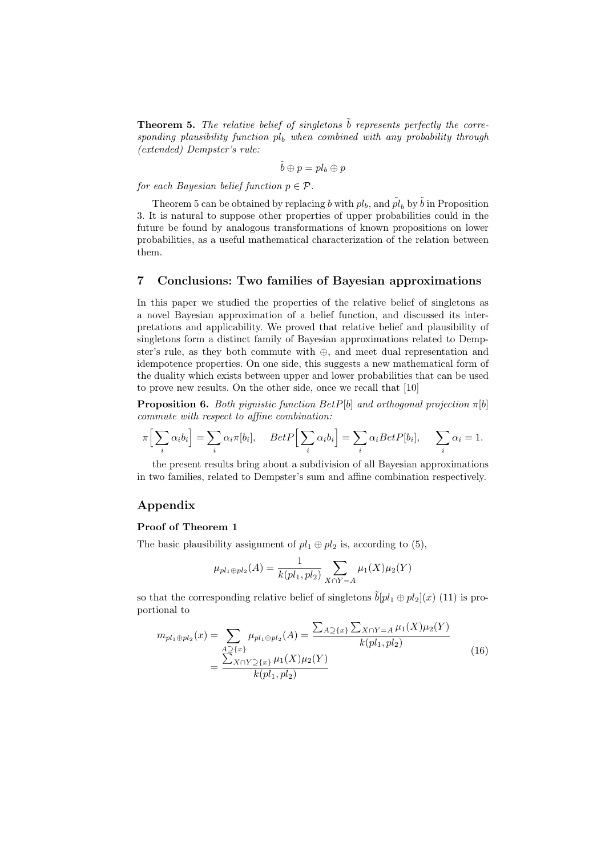**Theorem 5.** The relative belief of singletons  $\tilde{b}$  represents perfectly the corresponding plausibility function  $p_l$  when combined with any probability through (extended) Dempster's rule:

$$
\tilde{b} \oplus p = pl_b \oplus p
$$

for each Bayesian belief function  $p \in \mathcal{P}$ .

Theorem 5 can be obtained by replacing b with  $pl_b$ , and  $\tilde{pl}_b$  by  $\tilde{b}$  in Proposition 3. It is natural to suppose other properties of upper probabilities could in the future be found by analogous transformations of known propositions on lower probabilities, as a useful mathematical characterization of the relation between them.

## 7 Conclusions: Two families of Bayesian approximations

In this paper we studied the properties of the relative belief of singletons as a novel Bayesian approximation of a belief function, and discussed its interpretations and applicability. We proved that relative belief and plausibility of singletons form a distinct family of Bayesian approximations related to Dempster's rule, as they both commute with ⊕, and meet dual representation and idempotence properties. On one side, this suggests a new mathematical form of the duality which exists between upper and lower probabilities that can be used to prove new results. On the other side, once we recall that [10]

**Proposition 6.** Both pignistic function  $BetP[b]$  and orthogonal projection  $\pi[b]$ commute with respect to affine combination:

$$
\pi\Big[\sum_i \alpha_i b_i\Big] = \sum_i \alpha_i \pi[b_i], \quad BetP\Big[\sum_i \alpha_i b_i\Big] = \sum_i \alpha_i BetP[b_i], \quad \sum_i \alpha_i = 1.
$$

the present results bring about a subdivision of all Bayesian approximations in two families, related to Dempster's sum and affine combination respectively.

# Appendix

### Proof of Theorem 1

The basic plausibility assignment of  $pl_1 \oplus pl_2$  is, according to (5),

$$
\mu_{pl_1 \oplus pl_2}(A) = \frac{1}{k(pl_1, pl_2)} \sum_{X \cap Y = A} \mu_1(X)\mu_2(Y)
$$

so that the corresponding relative belief of singletons  $\tilde{b}[pl_1 \oplus pl_2](x)$  (11) is proportional to

$$
m_{pl_1 \oplus pl_2}(x) = \sum_{\substack{A \supseteq \{x\} \\ \sum X \cap Y \supseteq \{x\} \\ k(pl_1, pl_2)}} \mu_{pl_1 \oplus pl_2}(A) = \frac{\sum_{A \supseteq \{x\}} \sum_{X \cap Y = A} \mu_1(X) \mu_2(Y)}{k(pl_1, pl_2)}
$$
(16)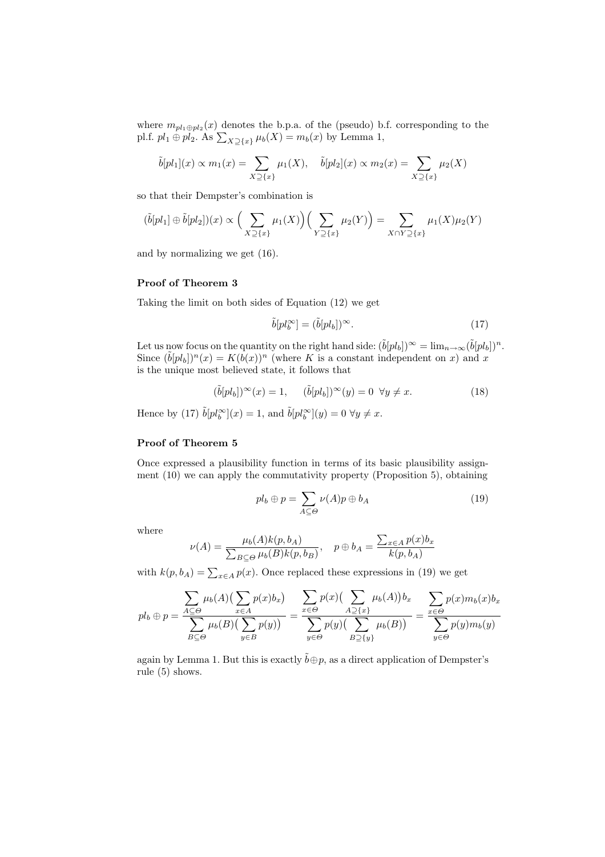where  $m_{pl_1\oplus pl_2}(x)$  denotes the b.p.a. of the (pseudo) b.f. corresponding to the pl.f.  $pl_1 \oplus pl_2$ . As  $\sum_{X\supseteq\{x\}} \mu_b(X) = m_b(x)$  by Lemma 1,

$$
\tilde{b}[pl_1](x) \propto m_1(x) = \sum_{X \supseteq \{x\}} \mu_1(X), \quad \tilde{b}[pl_2](x) \propto m_2(x) = \sum_{X \supseteq \{x\}} \mu_2(X)
$$

so that their Dempster's combination is

$$
(\tilde{b}[pl_1] \oplus \tilde{b}[pl_2])(x) \propto \Big(\sum_{X \supseteq \{x\}} \mu_1(X)\Big) \Big(\sum_{Y \supseteq \{x\}} \mu_2(Y)\Big) = \sum_{X \cap Y \supseteq \{x\}} \mu_1(X)\mu_2(Y)
$$

and by normalizing we get (16).

# Proof of Theorem 3

Taking the limit on both sides of Equation (12) we get

$$
\tilde{b}[pl_b^{\infty}] = (\tilde{b}[pl_b])^{\infty}.
$$
\n(17)

Let us now focus on the quantity on the right hand side:  $(\tilde{b}[pl_b])^{\infty} = \lim_{n \to \infty} (\tilde{b}[pl_b])^n$ . Since  $(\tilde{b}[pl_b])^n(x) = K(b(x))^n$  (where K is a constant independent on x) and x is the unique most believed state, it follows that

$$
(\tilde{b}[pl_b])^{\infty}(x) = 1, \quad (\tilde{b}[pl_b])^{\infty}(y) = 0 \quad \forall y \neq x. \tag{18}
$$

Hence by (17)  $\tilde{b}[pl_b^{\infty}](x) = 1$ , and  $\tilde{b}[pl_b^{\infty}](y) = 0 \,\forall y \neq x$ .

## Proof of Theorem 5

Once expressed a plausibility function in terms of its basic plausibility assignment (10) we can apply the commutativity property (Proposition 5), obtaining

$$
pl_b \oplus p = \sum_{A \subseteq \Theta} \nu(A)p \oplus b_A \tag{19}
$$

where

$$
\nu(A) = \frac{\mu_b(A)k(p, b_A)}{\sum_{B \subseteq \Theta} \mu_b(B)k(p, b_B)}, \quad p \oplus b_A = \frac{\sum_{x \in A} p(x)b_x}{k(p, b_A)}
$$

with  $k(p, b_A) = \sum_{x \in A} p(x)$ . Once replaced these expressions in (19) we get

$$
pl_b \oplus p = \frac{\sum_{A \subseteq \Theta} \mu_b(A) \left(\sum_{x \in A} p(x) b_x\right)}{\sum_{B \subseteq \Theta} \mu_b(B) \left(\sum_{y \in B} p(y)\right)} = \frac{\sum_{x \in \Theta} p(x) \left(\sum_{A \supseteq \{x\}} \mu_b(A)\right) b_x}{\sum_{y \in \Theta} p(y) \left(\sum_{B \supseteq \{y\}} \mu_b(B)\right)} = \frac{\sum_{x \in \Theta} p(x) m_b(x) b_x}{\sum_{y \in \Theta} p(y) m_b(y)}
$$

again by Lemma 1. But this is exactly  $\tilde{b} \oplus p$ , as a direct application of Dempster's rule (5) shows.